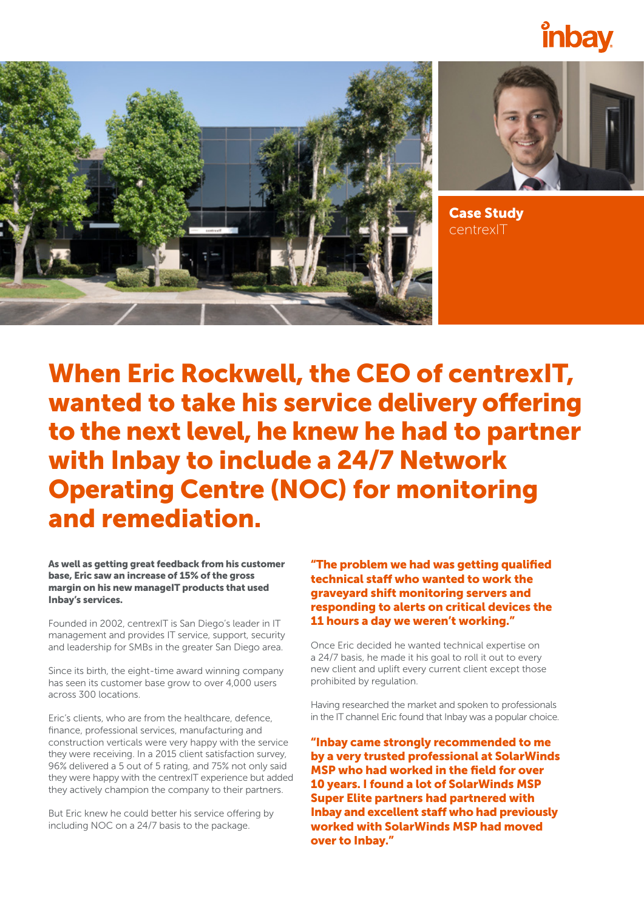





Case Study centrexIT

When Eric Rockwell, the CEO of centrexIT, wanted to take his service delivery offering to the next level, he knew he had to partner with Inbay to include a 24/7 Network Operating Centre (NOC) for monitoring and remediation.

As well as getting great feedback from his customer base, Eric saw an increase of 15% of the gross margin on his new manageIT products that used Inbay's services.

Founded in 2002, centrexIT is San Diego's leader in IT management and provides IT service, support, security and leadership for SMBs in the greater San Diego area.

Since its birth, the eight-time award winning company has seen its customer base grow to over 4,000 users across 300 locations.

Eric's clients, who are from the healthcare, defence, finance, professional services, manufacturing and construction verticals were very happy with the service they were receiving. In a 2015 client satisfaction survey, 96% delivered a 5 out of 5 rating, and 75% not only said they were happy with the centrexIT experience but added they actively champion the company to their partners.

But Eric knew he could better his service offering by including NOC on a 24/7 basis to the package.

"The problem we had was getting qualified technical staff who wanted to work the graveyard shift monitoring servers and responding to alerts on critical devices the 11 hours a day we weren't working."

Once Eric decided he wanted technical expertise on a 24/7 basis, he made it his goal to roll it out to every new client and uplift every current client except those prohibited by regulation.

Having researched the market and spoken to professionals in the IT channel Eric found that Inbay was a popular choice.

"Inbay came strongly recommended to me by a very trusted professional at SolarWinds MSP who had worked in the field for over 10 years. I found a lot of SolarWinds MSP Super Elite partners had partnered with Inbay and excellent staff who had previously worked with SolarWinds MSP had moved over to Inbay."